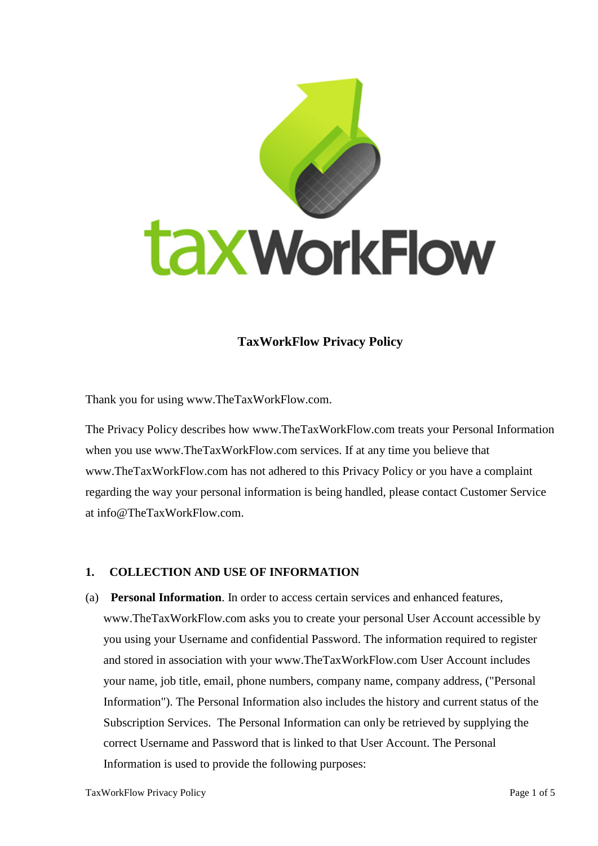

# **TaxWorkFlow Privacy Policy**

Thank you for using www.TheTaxWorkFlow.com.

The Privacy Policy describes how www.TheTaxWorkFlow.com treats your Personal Information when you use www.TheTaxWorkFlow.com services. If at any time you believe that www.TheTaxWorkFlow.com has not adhered to this Privacy Policy or you have a complaint regarding the way your personal information is being handled, please contact Customer Service at info@TheTaxWorkFlow.com.

#### **1. COLLECTION AND USE OF INFORMATION**

(a) **Personal Information**. In order to access certain services and enhanced features, www.TheTaxWorkFlow.com asks you to create your personal User Account accessible by you using your Username and confidential Password. The information required to register and stored in association with your www.TheTaxWorkFlow.com User Account includes your name, job title, email, phone numbers, company name, company address, ("Personal Information"). The Personal Information also includes the history and current status of the Subscription Services. The Personal Information can only be retrieved by supplying the correct Username and Password that is linked to that User Account. The Personal Information is used to provide the following purposes: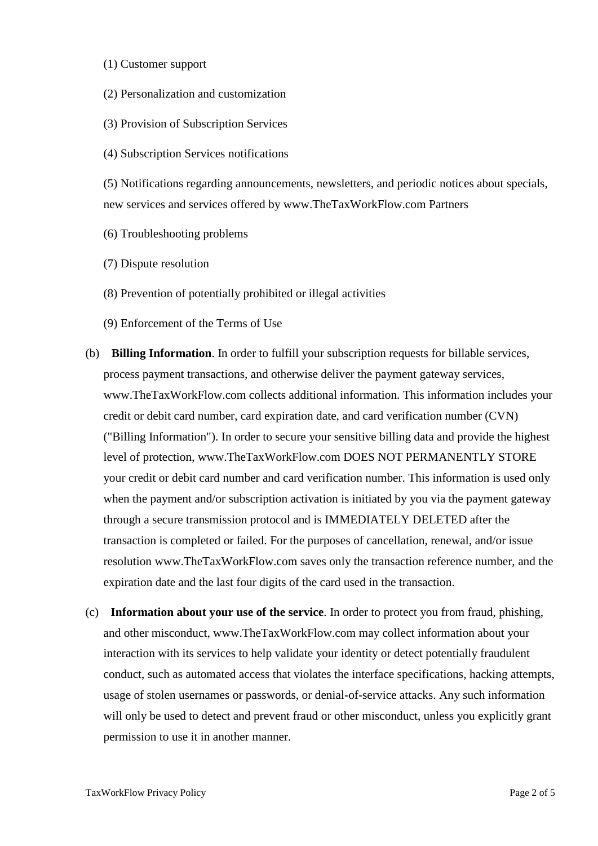- (1) Customer support
- (2) Personalization and customization
- (3) Provision of Subscription Services
- (4) Subscription Services notifications

(5) Notifications regarding announcements, newsletters, and periodic notices about specials, new services and services offered by www.TheTaxWorkFlow.com Partners

- (6) Troubleshooting problems
- (7) Dispute resolution
- (8) Prevention of potentially prohibited or illegal activities
- (9) Enforcement of the Terms of Use
- (b) **Billing Information**. In order to fulfill your subscription requests for billable services, process payment transactions, and otherwise deliver the payment gateway services, www.TheTaxWorkFlow.com collects additional information. This information includes your credit or debit card number, card expiration date, and card verification number (CVN) ("Billing Information"). In order to secure your sensitive billing data and provide the highest level of protection, www.TheTaxWorkFlow.com DOES NOT PERMANENTLY STORE your credit or debit card number and card verification number. This information is used only when the payment and/or subscription activation is initiated by you via the payment gateway through a secure transmission protocol and is IMMEDIATELY DELETED after the transaction is completed or failed. For the purposes of cancellation, renewal, and/or issue resolution www.TheTaxWorkFlow.com saves only the transaction reference number, and the expiration date and the last four digits of the card used in the transaction.
- (c) **Information about your use of the service**. In order to protect you from fraud, phishing, and other misconduct, www.TheTaxWorkFlow.com may collect information about your interaction with its services to help validate your identity or detect potentially fraudulent conduct, such as automated access that violates the interface specifications, hacking attempts, usage of stolen usernames or passwords, or denial-of-service attacks. Any such information will only be used to detect and prevent fraud or other misconduct, unless you explicitly grant permission to use it in another manner.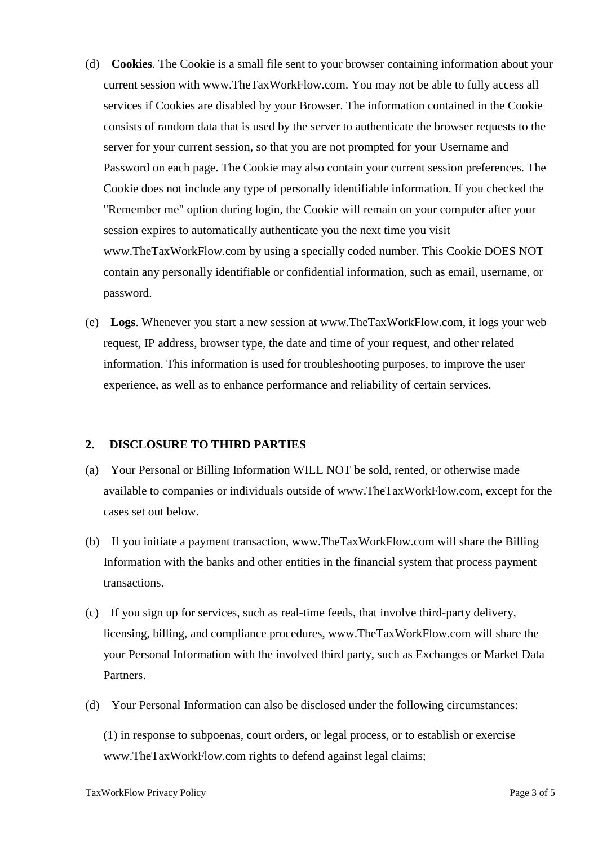- (d) **Cookies**. The Cookie is a small file sent to your browser containing information about your current session with www.TheTaxWorkFlow.com. You may not be able to fully access all services if Cookies are disabled by your Browser. The information contained in the Cookie consists of random data that is used by the server to authenticate the browser requests to the server for your current session, so that you are not prompted for your Username and Password on each page. The Cookie may also contain your current session preferences. The Cookie does not include any type of personally identifiable information. If you checked the "Remember me" option during login, the Cookie will remain on your computer after your session expires to automatically authenticate you the next time you visit www.TheTaxWorkFlow.com by using a specially coded number. This Cookie DOES NOT contain any personally identifiable or confidential information, such as email, username, or password.
- (e) **Logs**. Whenever you start a new session at www.TheTaxWorkFlow.com, it logs your web request, IP address, browser type, the date and time of your request, and other related information. This information is used for troubleshooting purposes, to improve the user experience, as well as to enhance performance and reliability of certain services.

#### **2. DISCLOSURE TO THIRD PARTIES**

- (a) Your Personal or Billing Information WILL NOT be sold, rented, or otherwise made available to companies or individuals outside of www.TheTaxWorkFlow.com, except for the cases set out below.
- (b) If you initiate a payment transaction, www.TheTaxWorkFlow.com will share the Billing Information with the banks and other entities in the financial system that process payment transactions.
- (c) If you sign up for services, such as real-time feeds, that involve third-party delivery, licensing, billing, and compliance procedures, www.TheTaxWorkFlow.com will share the your Personal Information with the involved third party, such as Exchanges or Market Data Partners.
- (d) Your Personal Information can also be disclosed under the following circumstances:

(1) in response to subpoenas, court orders, or legal process, or to establish or exercise www.TheTaxWorkFlow.com rights to defend against legal claims;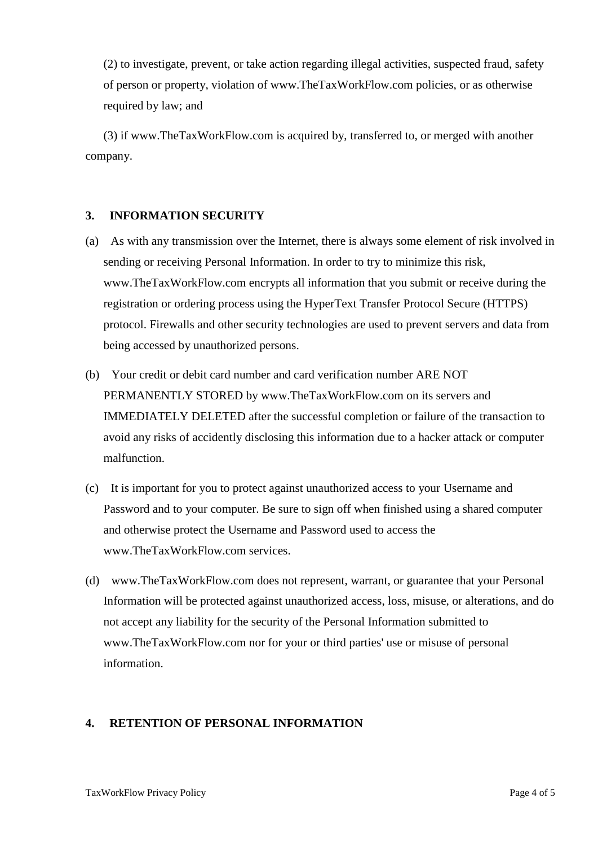(2) to investigate, prevent, or take action regarding illegal activities, suspected fraud, safety of person or property, violation of www.TheTaxWorkFlow.com policies, or as otherwise required by law; and

(3) if www.TheTaxWorkFlow.com is acquired by, transferred to, or merged with another company.

## **3. INFORMATION SECURITY**

- (a) As with any transmission over the Internet, there is always some element of risk involved in sending or receiving Personal Information. In order to try to minimize this risk, www.TheTaxWorkFlow.com encrypts all information that you submit or receive during the registration or ordering process using the HyperText Transfer Protocol Secure (HTTPS) protocol. Firewalls and other security technologies are used to prevent servers and data from being accessed by unauthorized persons.
- (b) Your credit or debit card number and card verification number ARE NOT PERMANENTLY STORED by www.TheTaxWorkFlow.com on its servers and IMMEDIATELY DELETED after the successful completion or failure of the transaction to avoid any risks of accidently disclosing this information due to a hacker attack or computer malfunction.
- (c) It is important for you to protect against unauthorized access to your Username and Password and to your computer. Be sure to sign off when finished using a shared computer and otherwise protect the Username and Password used to access the www.TheTaxWorkFlow.com services.
- (d) www.TheTaxWorkFlow.com does not represent, warrant, or guarantee that your Personal Information will be protected against unauthorized access, loss, misuse, or alterations, and do not accept any liability for the security of the Personal Information submitted to www.TheTaxWorkFlow.com nor for your or third parties' use or misuse of personal information.

## **4. RETENTION OF PERSONAL INFORMATION**